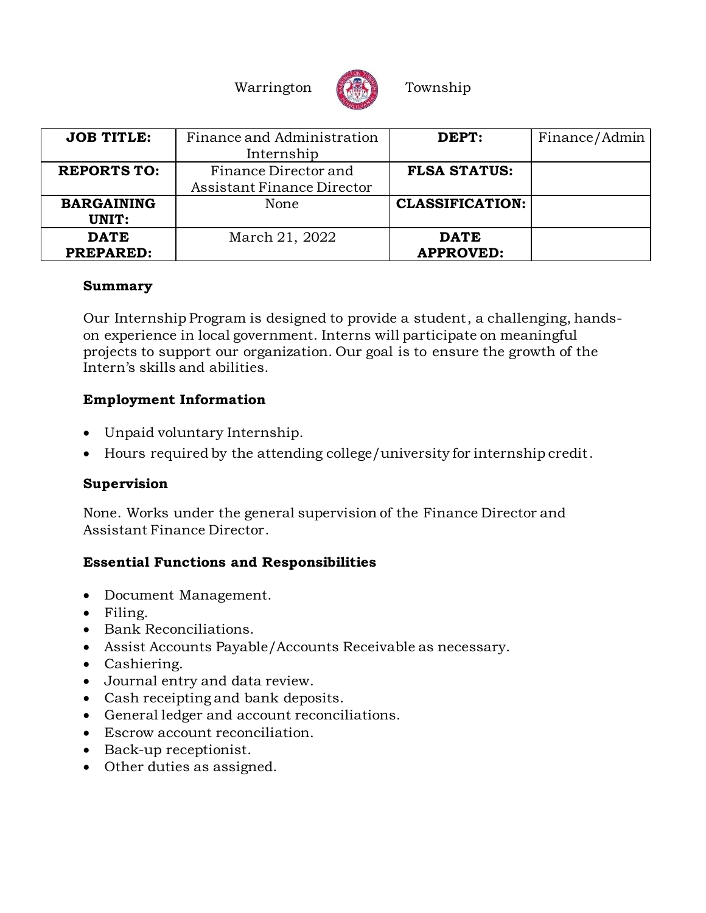Warrington **T** 



| <b>JOB TITLE:</b>  | Finance and Administration | DEPT:                  | Finance/Admin |
|--------------------|----------------------------|------------------------|---------------|
|                    | Internship                 |                        |               |
| <b>REPORTS TO:</b> | Finance Director and       | <b>FLSA STATUS:</b>    |               |
|                    | Assistant Finance Director |                        |               |
| <b>BARGAINING</b>  | None                       | <b>CLASSIFICATION:</b> |               |
| UNIT:              |                            |                        |               |
| <b>DATE</b>        | March 21, 2022             | <b>DATE</b>            |               |
| <b>PREPARED:</b>   |                            | <b>APPROVED:</b>       |               |

### **Summary**

Our Internship Program is designed to provide a student, a challenging, handson experience in local government. Interns will participate on meaningful projects to support our organization. Our goal is to ensure the growth of the Intern's skills and abilities.

## **Employment Information**

- Unpaid voluntary Internship.
- Hours required by the attending college/university for internship credit.

### **Supervision**

None. Works under the general supervision of the Finance Director and Assistant Finance Director.

### **Essential Functions and Responsibilities**

- Document Management.
- Filing.
- Bank Reconciliations.
- Assist Accounts Payable/Accounts Receivable as necessary.
- Cashiering.
- Journal entry and data review.
- Cash receipting and bank deposits.
- General ledger and account reconciliations.
- Escrow account reconciliation.
- Back-up receptionist.
- Other duties as assigned.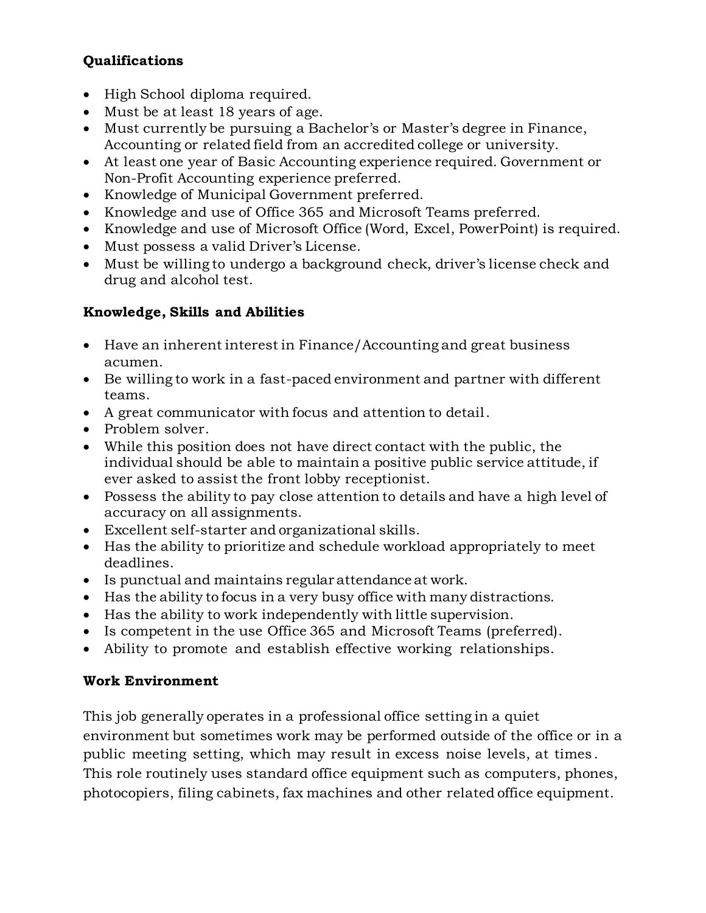# **Qualifications**

- High School diploma required.
- Must be at least 18 years of age.
- Must currently be pursuing a Bachelor's or Master's degree in Finance, Accounting or related field from an accredited college or university.
- At least one year of Basic Accounting experience required. Government or Non-Profit Accounting experience preferred.
- Knowledge of Municipal Government preferred.
- Knowledge and use of Office 365 and Microsoft Teams preferred.
- Knowledge and use of Microsoft Office (Word, Excel, PowerPoint) is required.
- Must possess a valid Driver's License.
- Must be willing to undergo a background check, driver's license check and drug and alcohol test.

# **Knowledge, Skills and Abilities**

- Have an inherent interest in Finance/Accounting and great business acumen.
- Be willing to work in a fast-paced environment and partner with different teams.
- A great communicator with focus and attention to detail.
- Problem solver.
- While this position does not have direct contact with the public, the individual should be able to maintain a positive public service attitude, if ever asked to assist the front lobby receptionist.
- Possess the ability to pay close attention to details and have a high level of accuracy on all assignments.
- Excellent self-starter and organizational skills.
- Has the ability to prioritize and schedule workload appropriately to meet deadlines.
- Is punctual and maintains regular attendance at work.
- Has the ability to focus in a very busy office with many distractions.
- Has the ability to work independently with little supervision.
- Is competent in the use Office 365 and Microsoft Teams (preferred).
- Ability to promote and establish effective working relationships.

# **Work Environment**

This job generally operates in a professional office setting in a quiet environment but sometimes work may be performed outside of the office or in a public meeting setting, which may result in excess noise levels, at times. This role routinely uses standard office equipment such as computers, phones, photocopiers, filing cabinets, fax machines and other related office equipment.